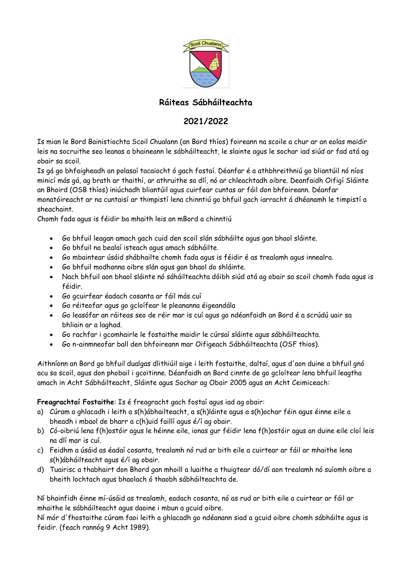

# **Ráiteas Sábháilteachta**

# **2021/2022**

Is mian le Bord Bainistiochta Scoil Chualann (an Bord thíos) foireann na scoile a chur ar an eolas maidir leis na socruithe seo leanas a bhaineann le sábháilteacht, le slainte agus le sochar iad siúd ar fad atá ag obair sa scoil.

Is gá go bhfaigheadh an polasaí tacaiocht ó gach fostaí. Déanfar é a athbhreithniú go bliantúil nó níos minicí más gá, ag brath ar thaithí, ar athruithe sa dlí, nó ar chleachtadh oibre. Deanfaidh Oifigí Sláinte an Bhoird (OSB thíos) iniúchadh bliantúil agus cuirfear cuntas ar fáil don bhfoireann. Déanfar monatóireacht ar na cuntaisí ar thimpistí lena chinntiú go bhfuil gach iarracht á dhéanamh le timpistí a sheachaint.

Chomh fada agus is féidir ba mhaith leis an mBord a chinntiú

- Go bhfuil leagan amach gach cuid den scoil slán sábháilte agus gan bhaol sláinte.
- Go bhfuil na bealaí isteach agus amach sábháilte.
- Go mbaintear úsáid shábhailte chomh fada agus is féidir é as trealamh agus innealra.
- Go bhfuil modhanna oibre slán agus gan bhaol do shláinte.
- Nach bhfuil aon bhaol sláinte nó sáháilteachta dóibh siúd atá ag obair sa scoil chomh fada agus is féidir.
- Go gcuirfear éadach cosanta ar fáil más cuí
- Go réiteofar agus go gcloífear le pleananna éigeandála
- Go leasófar an ráiteas seo de réir mar is cuí agus go ndéanfaidh an Bord é a scrúdú uair sa bhliain ar a laghad.
- Go rachfar i gcomhairle le fostaithe maidir le cúrsaí sláinte agus sábháilteachta.
- Go n-ainmneofar ball den bhfoireann mar Oifigeach Sábháilteachta (OSF thios).

Aithníonn an Bord go bhfuil dualgas dlithiúil aige i leith fostaithe, daltaí, agus d'aon duine a bhfuil gnó acu sa scoil, agus don phobail i gcoitinne. Déanfaidh an Bord cinnte de go gcloítear lena bhfuil leagtha amach in Acht Sábháilteacht, Sláinte agus Sochar ag Obair 2005 agus an Acht Ceimiceach:

### **Freagrachtaí Fostaithe**: Is é freagracht gach fostaí agus iad ag obair:

- a) Cúram a ghlacadh i leith a s(h)ábhailteacht, a s(h)láinte agus a s(h)ochar féin agus éinne eile a bheadh i mbaol de bharr a c(h)uid faillí agus é/í ag obair.
- b) Có-oibriú lena f(h)ostóir agus le héinne eile, ionas gur féidir lena f(h)ostóir agus an duine eile cloí leis na dlí mar is cuí.
- c) Feidhm a úsáid as éadaí cosanta, trealamh nó rud ar bith eile a cuirtear ar fáil ar mhaithe lena s(h)ábháilteacht agus é/í ag obair.
- d) Tuairisc a thabhairt don Bhord gan mhoill a luaithe a thuigtear dó/dí aon trealamh nó suíomh oibre a bheith lochtach agus bhaolach ó thaobh sábháilteachta de.

Ní bhainfidh éinne mí-úsáid as trealamh, eadach cosanta, nó as rud ar bith eile a cuirtear ar fáil ar mhaithe le sábháilteacht agus daoine i mbun a gcuid oibre.

Ní mór d'fhostaithe cúram faoi leith a ghlacadh go ndéanann siad a gcuid oibre chomh sábháilte agus is feidir. (feach rannóg 9 Acht 1989).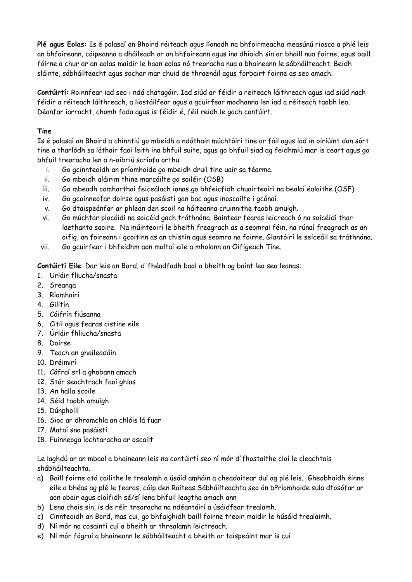**Plé agus Eolas:** Is é polasaí an Bhoird réiteach agus líonadh na bhfoirmeacha measúnú riosca a phlé leis an bhfoireann, cóipeanna a dháileadh ar an bhfoireann agus ina dhiaidh sin ar bhaill nua foirne, agus baill fóirne a chur ar an eolas maidir le haon eolas nó treoracha nua a bhaineann le sábháilteacht. Beidh sláinte, sábháilteacht agus sochar mar chuid de thraenáil agus forbairt foirne as seo amach.

**Contúirtí:** Roinnfear iad seo i ndá chatagóir. Iad siúd ar féidir a reiteach láithreach agus iad siúd nach féidir a réiteach láithreach, a liostáilfear agus a gcuirfear modhanna len iad a réiteach taobh leo. Déanfar iarracht, chomh fada agus is féidir é, féil reidh le gach contúirt.

### **Tine**

Is é polasaí an Bhoird a chinntiú go mbeidh a ndóthain múchtóirí tine ar fáil agus iad in oiriúint don sórt tine a tharlódh sa láthair faoi leith ina bhfuil suite, agus go bhfuil siad ag feidhmiú mar is ceart agus go bhfuil treoracha len a n-oibriú scríofa orthu.

- i. Go gcinnteoidh an príomhoide go mbeidh druil tine uair sa téarma.
- ii. Go mbeidh aláirim thine marcáilte go soiléir (OSB)
- iii. Go mbeadh comharthaí feiceálach ionas go bhfeicfidh chuairteoirí na bealaí éalaithe (OSF)
- iv. Go gcoinneofar doirse agus pasáistí gan bac agus inoscailte i gcónaí.
- v. Go dtaispeánfar ar phlean den scoil na háiteanna cruinnithe taobh amuigh.
- vi. Go múchtar plocóidí na soicéid gach tráthnóna. Baintear fearas leicreach ó na soicéidí thar laethanta saoire. Na múinteoirí le bheith freagrach as a seomrai féin, na rúnaí freagrach as an oifig, an foireann i gcoitinn as an chistin agus seomra na foirne. Glantóirí le seiceáil sa tráthnóna.
- vii. Go gcuirfear i bhfeidhm aon moltaí eile a mholann an Oifigeach Tine.

**Contúirtí Eile**: Dar leis an Bord, d'fhéadfadh baol a bheith ag baint leo seo leanas:

- 1. Urláir fliucha/snasta
- 2. Sreanga
- 3. Ríomhairí
- 4. Gilitín
- 5. Cóifrín fiúsanna
- 6. Citil agus fearas cistine eile
- 7. Úrláir fhliucha/snasta
- 8. Doirse
- 9. Teach an ghaileadáin
- 10. Dréimirí
- 11. Cófraí srl a ghobann amach
- 12. Stór seachtrach faoi ghlas
- 13. An halla scoile
- 14. Séid taobh amuigh
- 15. Dúnphoill
- 16. Sioc ar dhromchla an chlóis lá fuar
- 17. Mataí sna pasáistí
- 18. Fuinneoga íochtaracha ar oscailt

Le laghdú ar an mbaol a bhaineann leis na contúirtí seo ní mór d'fhostaithe cloí le cleachtais shábháilteachta.

- a) Baill foirne atá cailithe le trealamh a úsáid amháin a cheadaítear dul ag plé leis. Gheobhaidh éinne eile a bhéas ag plé le fearas, cóip den Raiteas Sábháilteachta seo ón bPríomhoide sula dtosófar ar aon obair agus cloífidh sé/sí lena bhfuil leagtha amach ann
- b) Lena chois sin, is de réir treoracha na ndéantóirí a úsáidfear trealamh.
- c) Cinnteoidh an Bord, mas cui, go bhfaighidh baill foirne treoir maidir le húsáid trealaimh.
- d) Ní mór na cosaintí cuí a bheith ar threalamh leictreach.
- e) Ní mór fógraí a bhaineann le sábháilteacht a bheith ar taispeáint mar is cuí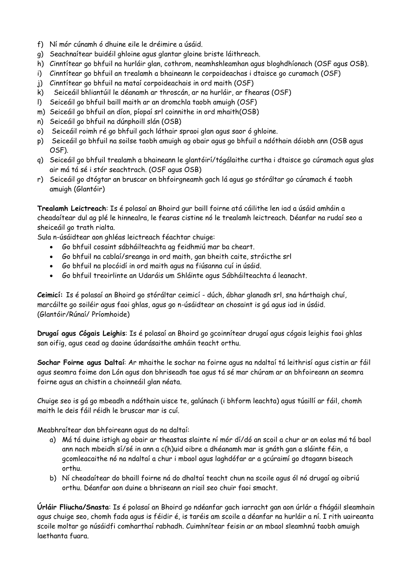- f) Ní mór cúnamh ó dhuine eile le dréimire a úsáid.
- g) Seachnaítear buidéil ghloine agus glantar gloine briste láithreach.
- h) Cinntítear go bhfuil na hurláir glan, cothrom, neamhshleamhan agus bloghdhíonach (OSF agus OSB).
- i) Cinntítear go bhfuil an trealamh a bhaineann le corpoideachas i dtaisce go curamach (OSF)
- j) Cinntítear go bhfuil na mataí corpoideachais in ord maith (OSF)
- k) Seiceáil bhliantúil le déanamh ar throscán, ar na hurláir, ar fhearas (OSF)
- l) Seiceáil go bhfuil baill maith ar an dromchla taobh amuigh (OSF)
- m) Seiceáil go bhfuil an díon, píopaí srl coinnithe in ord mhaith(OSB)
- n) Seiceáil go bhfuil na dúnphoill slán (OSB)
- o) Seiceáil roimh ré go bhfuil gach láthair spraoi glan agus saor ó ghloine.
- p) Seiceáil go bhfuil na soilse taobh amuigh ag obair agus go bhfuil a ndóthain dóiobh ann (OSB agus OSF).
- q) Seiceáil go bhfuil trealamh a bhaineann le glantóirí/tógálaithe curtha i dtaisce go cúramach agus glas air má tá sé i stór seachtrach. (OSF agus OSB)
- r) Seiceáil go dtógtar an bruscar on bhfoirgneamh gach lá agus go stóráltar go cúramach é taobh amuigh (Glantóir)

**Trealamh Leictreach**: Is é polasaí an Bhoird gur baill foirne atá cáilithe len iad a úsáid amháin a cheadaítear dul ag plé le hinnealra, le fearas cistine nó le trealamh leictreach. Déanfar na rudaí seo a sheiceáil go trath rialta.

Sula n-úsáidtear aon ghléas leictreach féachtar chuige:

- Go bhfuil cosaint sábháilteachta ag feidhmiú mar ba cheart.
- Go bhfuil na cablaí/sreanga in ord maith, gan bheith caite, stróicthe srl
- Go bhfuil na plocóidí in ord maith agus na fiúsanna cuí in úsáid.
- Go bhfuil treoirlinte an Udaráis um Shláinte agus Sábháilteachta á leanacht.

**Ceimicí:** Is é polasaí an Bhoird go stóráltar ceimicí - dúch, ábhar glanadh srl, sna hárthaigh chuí, marcáilte go soiléir agus faoi ghlas, agus go n-úsáidtear an chosaint is gá agus iad in úsáid. (Glantóir/Rúnaí/ Príomhoide)

**Drugaí agus Cógais Leighis**: Is é polasaí an Bhoird go gcoinnítear drugaí agus cógais leighis faoi ghlas san oifig, agus cead ag daoine údarásaithe amháin teacht orthu.

**Sochar Foirne agus Daltaí**: Ar mhaithe le sochar na foirne agus na ndaltaí tá leithrisí agus cistin ar fáil agus seomra foime don Lón agus don bhriseadh tae agus tá sé mar chúram ar an bhfoireann an seomra foirne agus an chistin a choinneáil glan néata.

Chuige seo is gá go mbeadh a ndóthain uisce te, galúnach (i bhform leachta) agus túaillí ar fáil, chomh maith le deis fáil réidh le bruscar mar is cuí.

Meabhraítear don bhfoireann agus do na daltaí:

- a) Má tá duine istigh ag obair ar theastas slainte ní mór dí/dó an scoil a chur ar an eolas má tá baol ann nach mbeidh sí/sé in ann a c(h)uid oibre a dhéanamh mar is gnáth gan a sláinte féin, a gcomleacaithe nó na ndaltaí a chur i mbaol agus laghdófar ar a gcúraimí go dtagann biseach orthu.
- b) Ní cheadaítear do bhaill foirne ná do dhaltaí teacht chun na scoile agus ól nó drugaí ag oibriú orthu. Déanfar aon duine a bhriseann an riail seo chuir faoi smacht.

**Úrláir Fliucha/Snasta**: Is é polasaí an Bhoird go ndéanfar gach iarracht gan aon úrlár a fhágáil sleamhain agus chuige seo, chomh fada agus is féidir é, is taréis am scoile a déanfar na hurláir a ní. I rith uaireanta scoile moltar go núsáidfi comharthaí rabhadh. Cuimhnítear feisin ar an mbaol sleamhnú taobh amuigh laethanta fuara.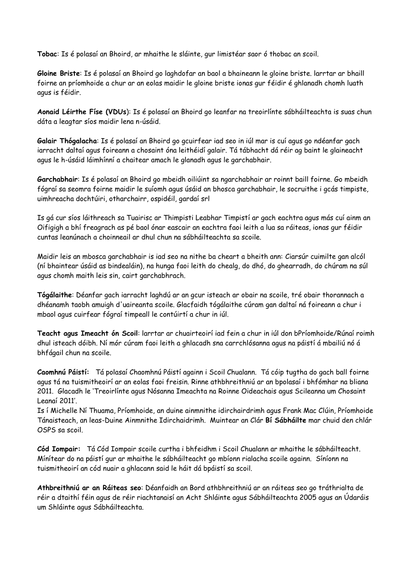**Tobac**: Is é polasaí an Bhoird, ar mhaithe le sláinte, gur limistéar saor ó thobac an scoil.

**Gloine Briste**: Is é polasaí an Bhoird go laghdofar an baol a bhaineann le gloine briste. larrtar ar bhaill foirne an príomhoide a chur ar an eolas maidir le gloine briste ionas gur féidir é ghlanadh chomh luath agus is féidir.

**Aonaid Léirthe Físe (VDUs**): Is é polasaí an Bhoird go leanfar na treoirlínte sábháilteachta is suas chun dáta a leagtar síos maidir lena n-úsáid.

**Galair Thógalacha**: Is é polasaí an Bhoird go gcuirfear iad seo in iúl mar is cuí agus go ndéanfar gach iarracht daltaí agus foireann a chosaint óna leithéidí galair. Tá tábhacht dá réir ag baint le glaineacht agus le h-úsáid láimhínní a chaitear amach le glanadh agus le garchabhair.

**Garchabhair**: Is é polasaí an Bhoird go mbeidh oiliúint sa ngarchabhair ar roinnt baill foirne. Go mbeidh fógraí sa seomra foirne maidir le suíomh agus úsáid an bhosca garchabhair, le socruithe i gcás timpiste, uimhreacha dochtúiri, otharchairr, ospidéil, gardaí srl

Is gá cur síos láithreach sa Tuairisc ar Thimpisti Leabhar Timpistí ar gach eachtra agus más cuí ainm an Oifigigh a bhí freagrach as pé baol ónar eascair an eachtra faoi leith a lua sa ráiteas, ionas gur féidir cuntas leanúnach a choinneail ar dhul chun na sábháilteachta sa scoile.

Maidir leis an mbosca garchabhair is iad seo na nithe ba cheart a bheith ann: Ciarsúr cuimilte gan alcól (ní bhaintear úsáid as bindealáin), na hunga faoi leith do chealg, do dhó, do ghearradh, do chúram na súl agus chomh maith leis sin, cairt garchabhrach.

**Tógálaithe**: Déanfar gach iarracht laghdú ar an gcur isteach ar obair na scoile, tré obair thorannach a dhéanamh taobh amuigh d'uaireanta scoile. Glacfaidh tógálaithe cúram gan daltaí ná foireann a chur i mbaol agus cuirfear fógraí timpeall le contúirtí a chur in iúl.

**Teacht agus Imeacht ón Scoil**: larrtar ar chuairteoirí iad fein a chur in iúl don bPríomhoide/Rúnaí roimh dhul isteach dóibh. Ní mór cúram faoi leith a ghlacadh sna carrchlósanna agus na páistí á mbailiú nó á bhfágail chun na scoile.

**Caomhnú Páistí:** Tá polasaí Chaomhnú Páistí againn i Scoil Chualann. Tá cóip tugtha do gach ball foirne agus tá na tuismitheoirí ar an eolas faoi freisin. Rinne athbhreithniú ar an bpolasaí i bhfómhar na bliana 2011. Glacadh le 'Treoirlínte agus Nósanna Imeachta na Roinne Oideachais agus Scileanna um Chosaint Leanaí 2011'.

Is í Michelle Ní Thuama, Príomhoide, an duine ainmnithe idirchairdrimh agus Frank Mac Clúin, Príomhoide Tánaisteach, an leas-Duine Ainmnithe Idirchaidrimh. Muintear an Clár **Bí Sábháilte** mar chuid den chlár OSPS sa scoil.

**Cód Iompair:** Tá Cód Iompair scoile curtha i bhfeidhm i Scoil Chualann ar mhaithe le sábháilteacht. Mínítear do na páistí gur ar mhaithe le sábháilteacht go mbíonn rialacha scoile againn. Síníonn na tuismitheoirí an cód nuair a ghlacann said le háit dá bpáistí sa scoil.

**Athbreithniú ar an Ráiteas seo**: Déanfaidh an Bord athbhreithniú ar an ráiteas seo go tráthrialta de réir a dtaithí féin agus de réir riachtanaisí an Acht Shláinte agus Sábháilteachta 2005 agus an Údaráis um Shláinte agus Sábháilteachta.